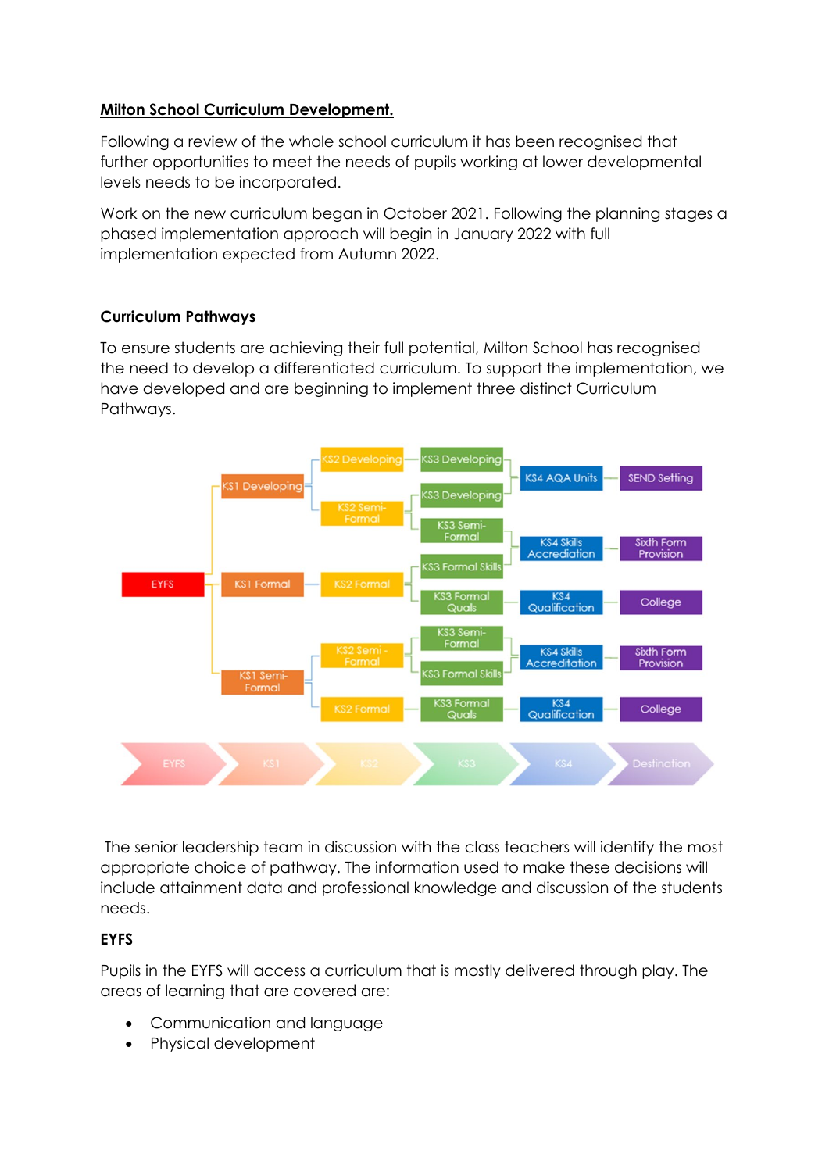## **Milton School Curriculum Development.**

Following a review of the whole school curriculum it has been recognised that further opportunities to meet the needs of pupils working at lower developmental levels needs to be incorporated.

Work on the new curriculum began in October 2021. Following the planning stages a phased implementation approach will begin in January 2022 with full implementation expected from Autumn 2022.

## **Curriculum Pathways**

To ensure students are achieving their full potential, Milton School has recognised the need to develop a differentiated curriculum. To support the implementation, we have developed and are beginning to implement three distinct Curriculum Pathways.



The senior leadership team in discussion with the class teachers will identify the most appropriate choice of pathway. The information used to make these decisions will include attainment data and professional knowledge and discussion of the students needs.

# **EYFS**

Pupils in the EYFS will access a curriculum that is mostly delivered through play. The areas of learning that are covered are:

- Communication and language
- Physical development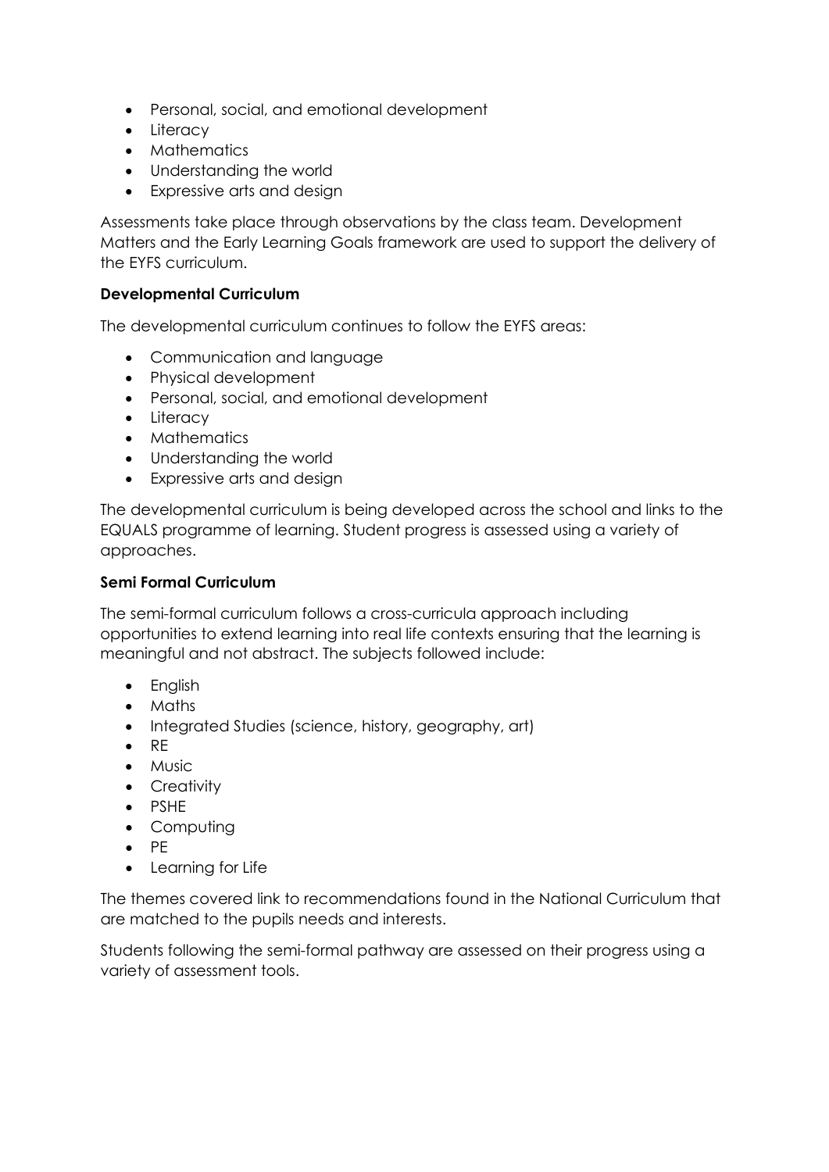- Personal, social, and emotional development
- Literacy
- Mathematics
- Understanding the world
- Expressive arts and desian

Assessments take place through observations by the class team. Development Matters and the Early Learning Goals framework are used to support the delivery of the EYFS curriculum.

#### **Developmental Curriculum**

The developmental curriculum continues to follow the EYFS areas:

- Communication and language
- Physical development
- Personal, social, and emotional development
- Literacy
- Mathematics
- Understanding the world
- Expressive arts and design

The developmental curriculum is being developed across the school and links to the EQUALS programme of learning. Student progress is assessed using a variety of approaches.

#### **Semi Formal Curriculum**

The semi-formal curriculum follows a cross-curricula approach including opportunities to extend learning into real life contexts ensuring that the learning is meaningful and not abstract. The subjects followed include:

- English
- Maths
- Integrated Studies (science, history, geography, art)
- RE
- Music
- Creativity
- PSHE
- Computing
- PE
- Learning for Life

The themes covered link to recommendations found in the National Curriculum that are matched to the pupils needs and interests.

Students following the semi-formal pathway are assessed on their progress using a variety of assessment tools.